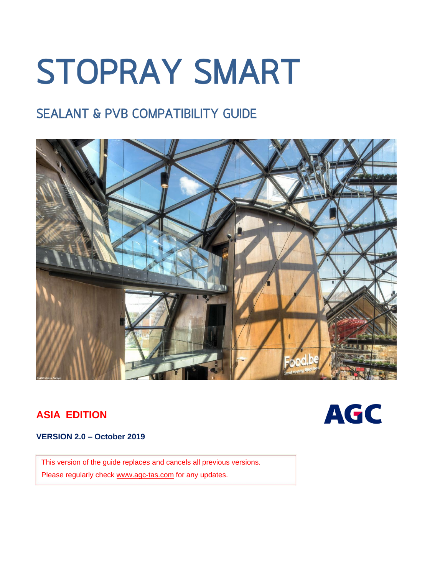# **STOPRAY SMART**

# **SEALANT & PVB COMPATIBILITY GUIDE**



## **ASIA EDITION**



### **VERSION 2.0 – October 2019**

This version of the guide replaces and cancels all previous versions. Please regularly check [www.agc-tas.com](http://www.agc-tas.com/) for any updates.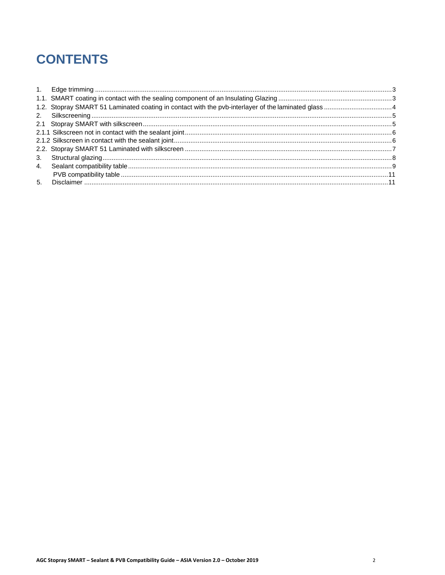# **CONTENTS**

| 3. |  |
|----|--|
| 4. |  |
|    |  |
|    |  |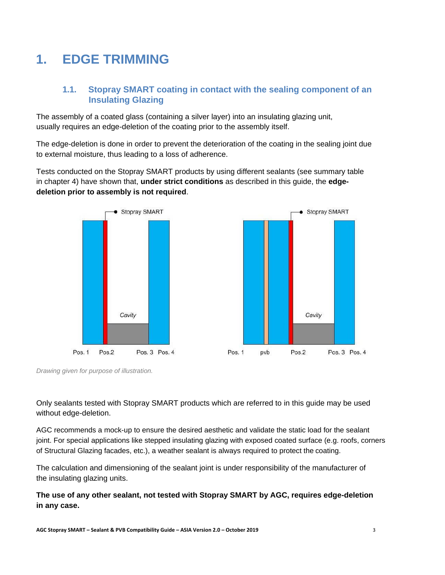# <span id="page-2-0"></span>**1. EDGE TRIMMING**

## **1.1. Stopray SMART coating in contact with the sealing component of an Insulating Glazing**

The assembly of a coated glass (containing a silver layer) into an insulating glazing unit, usually requires an edge-deletion of the coating prior to the assembly itself.

The edge-deletion is done in order to prevent the deterioration of the coating in the sealing joint due to external moisture, thus leading to a loss of adherence.

Tests conducted on the Stopray SMART products by using different sealants (see summary table in chapter 4) have shown that, **under strict conditions** as described in this guide, the **edgedeletion prior to assembly is not required**.





*Drawing given for purpose of illustration.*

Only sealants tested with Stopray SMART products which are referred to in this guide may be used without edge-deletion.

AGC recommends a mock-up to ensure the desired aesthetic and validate the static load for the sealant joint. For special applications like stepped insulating glazing with exposed coated surface (e.g. roofs, corners of Structural Glazing facades, etc.), a weather sealant is always required to protect the coating.

The calculation and dimensioning of the sealant joint is under responsibility of the manufacturer of the insulating glazing units.

**The use of any other sealant, not tested with Stopray SMART by AGC, requires edge-deletion in any case.**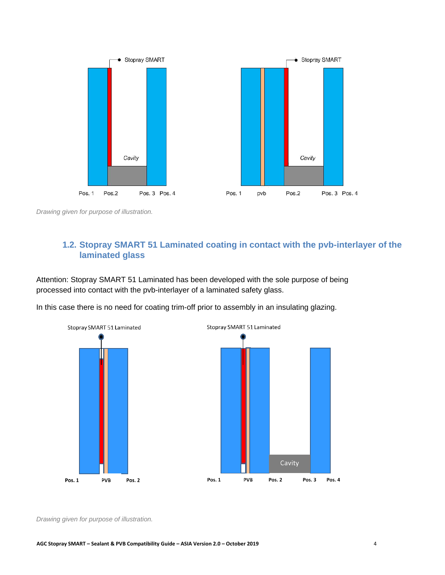

<span id="page-3-0"></span>*Drawing given for purpose of illustration.*

## **1.2. Stopray SMART 51 Laminated coating in contact with the pvb-interlayer of the laminated glass**

Attention: Stopray SMART 51 Laminated has been developed with the sole purpose of being processed into contact with the pvb-interlayer of a laminated safety glass.

In this case there is no need for coating trim-off prior to assembly in an insulating glazing.



*Drawing given for purpose of illustration.*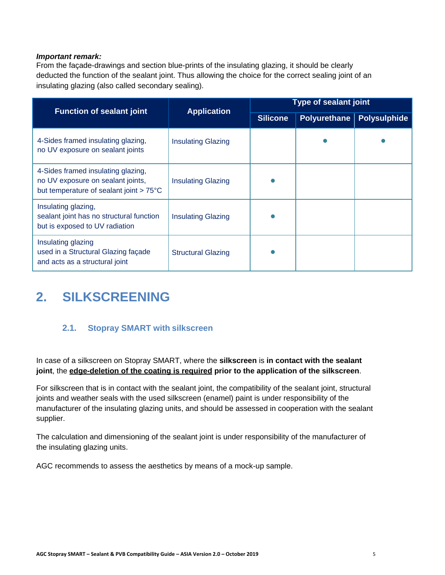#### *Important remark:*

From the façade-drawings and section blue-prints of the insulating glazing, it should be clearly deducted the function of the sealant joint. Thus allowing the choice for the correct sealing joint of an insulating glazing (also called secondary sealing).

| <b>Function of sealant joint</b>                                                                                   | <b>Application</b>        | <b>Type of sealant joint</b> |                     |                     |  |
|--------------------------------------------------------------------------------------------------------------------|---------------------------|------------------------------|---------------------|---------------------|--|
|                                                                                                                    |                           | <b>Silicone</b>              | <b>Polyurethane</b> | <b>Polysulphide</b> |  |
| 4-Sides framed insulating glazing,<br>no UV exposure on sealant joints                                             | <b>Insulating Glazing</b> |                              |                     |                     |  |
| 4-Sides framed insulating glazing,<br>no UV exposure on sealant joints,<br>but temperature of sealant joint > 75°C | <b>Insulating Glazing</b> |                              |                     |                     |  |
| Insulating glazing,<br>sealant joint has no structural function<br>but is exposed to UV radiation                  | <b>Insulating Glazing</b> |                              |                     |                     |  |
| Insulating glazing<br>used in a Structural Glazing façade<br>and acts as a structural joint                        | <b>Structural Glazing</b> |                              |                     |                     |  |

# <span id="page-4-1"></span><span id="page-4-0"></span>**2. SILKSCREENING**

## **2.1. Stopray SMART with silkscreen**

In case of a silkscreen on Stopray SMART, where the **silkscreen** is **in contact with the sealant joint**, the **edge-deletion of the coating is required prior to the application of the silkscreen**.

For silkscreen that is in contact with the sealant joint, the compatibility of the sealant joint, structural joints and weather seals with the used silkscreen (enamel) paint is under responsibility of the manufacturer of the insulating glazing units, and should be assessed in cooperation with the sealant supplier.

The calculation and dimensioning of the sealant joint is under responsibility of the manufacturer of the insulating glazing units.

AGC recommends to assess the aesthetics by means of a mock-up sample.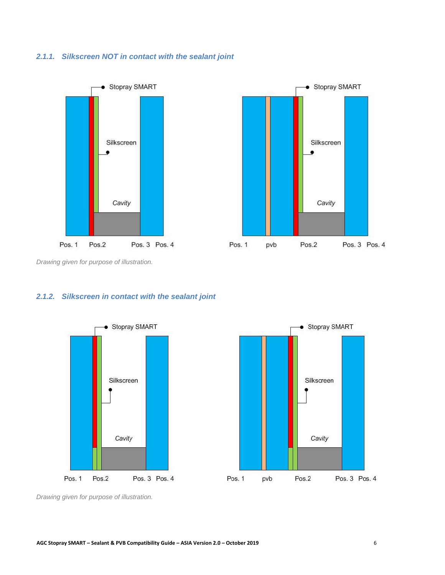#### <span id="page-5-0"></span>*2.1.1. Silkscreen NOT in contact with the sealant joint*





*Drawing given for purpose of illustration.*

## <span id="page-5-1"></span>*2.1.2. Silkscreen in contact with the sealant joint*





*Drawing given for purpose of illustration.*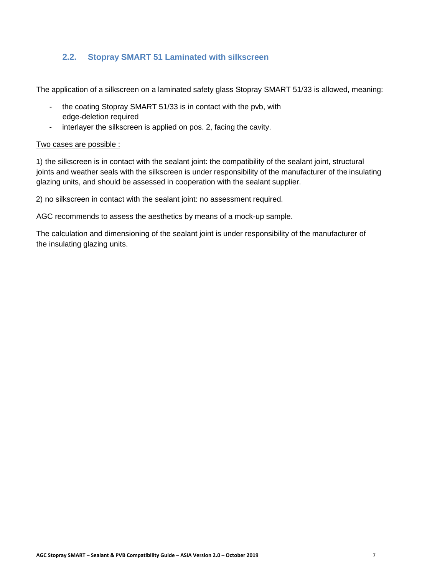## **2.2. Stopray SMART 51 Laminated with silkscreen**

<span id="page-6-0"></span>The application of a silkscreen on a laminated safety glass Stopray SMART 51/33 is allowed, meaning:

- the coating Stopray SMART 51/33 is in contact with the pvb, with edge-deletion required
- interlayer the silkscreen is applied on pos. 2, facing the cavity.

#### Two cases are possible :

1) the silkscreen is in contact with the sealant joint: the compatibility of the sealant joint, structural joints and weather seals with the silkscreen is under responsibility of the manufacturer of the insulating glazing units, and should be assessed in cooperation with the sealant supplier.

2) no silkscreen in contact with the sealant joint: no assessment required.

AGC recommends to assess the aesthetics by means of a mock-up sample.

The calculation and dimensioning of the sealant joint is under responsibility of the manufacturer of the insulating glazing units.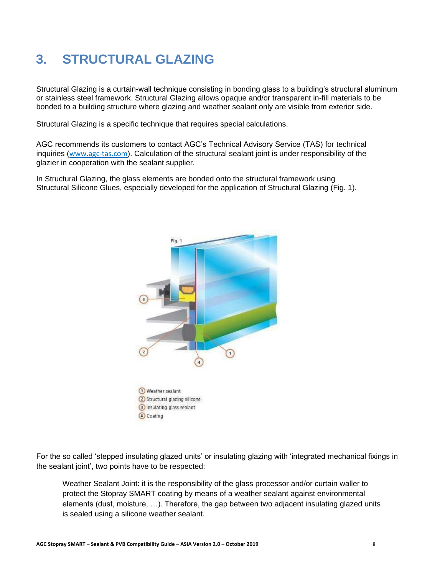# <span id="page-7-0"></span>**3. STRUCTURAL GLAZING**

Structural Glazing is a curtain-wall technique consisting in bonding glass to a building's structural aluminum or stainless steel framework. Structural Glazing allows opaque and/or transparent in-fill materials to be bonded to a building structure where glazing and weather sealant only are visible from exterior side.

Structural Glazing is a specific technique that requires special calculations.

AGC recommends its customers to contact AGC's Technical Advisory Service (TAS) for technical inquiries (www.agc-tas.com). Calculation of the structural sealant joint is under responsibility of the glazier in cooperation with the sealant supplier.

In Structural Glazing, the glass elements are bonded onto the structural framework using Structural Silicone Glues, especially developed for the application of Structural Glazing (Fig. 1).



For the so called 'stepped insulating glazed units' or insulating glazing with 'integrated mechanical fixings in the sealant joint', two points have to be respected:

Weather Sealant Joint: it is the responsibility of the glass processor and/or curtain waller to protect the Stopray SMART coating by means of a weather sealant against environmental elements (dust, moisture, …). Therefore, the gap between two adjacent insulating glazed units is sealed using a silicone weather sealant.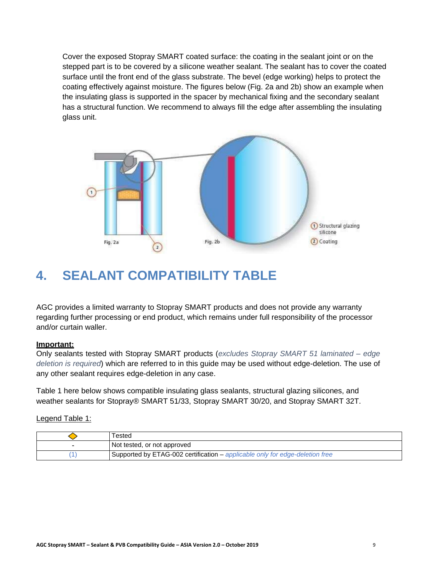Cover the exposed Stopray SMART coated surface: the coating in the sealant joint or on the stepped part is to be covered by a silicone weather sealant. The sealant has to cover the coated surface until the front end of the glass substrate. The bevel (edge working) helps to protect the coating effectively against moisture. The figures below (Fig. 2a and 2b) show an example when the insulating glass is supported in the spacer by mechanical fixing and the secondary sealant has a structural function. We recommend to always fill the edge after assembling the insulating glass unit.



## <span id="page-8-0"></span>**4. SEALANT COMPATIBILITY TABLE**

AGC provides a limited warranty to Stopray SMART products and does not provide any warranty regarding further processing or end product, which remains under full responsibility of the processor and/or curtain waller.

#### **Important:**

Only sealants tested with Stopray SMART products (*excludes Stopray SMART 51 laminated – edge deletion is required*) which are referred to in this guide may be used without edge-deletion. The use of any other sealant requires edge-deletion in any case.

Table 1 here below shows compatible insulating glass sealants, structural glazing silicones, and weather sealants for Stopray® SMART 51/33, Stopray SMART 30/20, and Stopray SMART 32T.

Legend Table 1:

| Tested                                                                       |
|------------------------------------------------------------------------------|
| Not tested, or not approved                                                  |
| Supported by ETAG-002 certification – applicable only for edge-deletion free |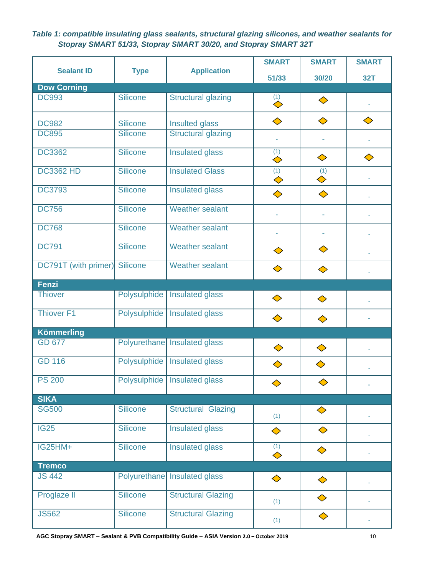*Table 1: compatible insulating glass sealants, structural glazing silicones, and weather sealants for Stopray SMART 51/33, Stopray SMART 30/20, and Stopray SMART 32T*

|                      |                     |                                | <b>SMART</b>                         | <b>SMART</b> | <b>SMART</b> |  |
|----------------------|---------------------|--------------------------------|--------------------------------------|--------------|--------------|--|
| <b>Sealant ID</b>    | <b>Type</b>         | <b>Application</b>             | 51/33                                | 30/20        | <b>32T</b>   |  |
| <b>Dow Corning</b>   |                     |                                |                                      |              |              |  |
| <b>DC993</b>         | <b>Silicone</b>     | <b>Structural glazing</b>      | $\overline{\overset{(1)}{\diamond}}$ | ♦            |              |  |
| <b>DC982</b>         | <b>Silicone</b>     | Insulted glass                 | ♦                                    | ♦            | ♦            |  |
| <b>DC895</b>         | <b>Silicone</b>     | <b>Structural glazing</b>      |                                      |              |              |  |
| <b>DC3362</b>        | <b>Silicone</b>     | <b>Insulated glass</b>         | (1)<br>♦                             | ♦            | ♦            |  |
| <b>DC3362 HD</b>     | <b>Silicone</b>     | <b>Insulated Glass</b>         | (1)<br>♦                             | (1)<br>♦     |              |  |
| <b>DC3793</b>        | <b>Silicone</b>     | <b>Insulated glass</b>         | ♦                                    | ♦            |              |  |
| <b>DC756</b>         | <b>Silicone</b>     | <b>Weather sealant</b>         | ä,                                   | ÷,           |              |  |
| <b>DC768</b>         | <b>Silicone</b>     | <b>Weather sealant</b>         |                                      |              |              |  |
| <b>DC791</b>         | <b>Silicone</b>     | <b>Weather sealant</b>         | ♦                                    | ♦            |              |  |
| DC791T (with primer) | <b>Silicone</b>     | <b>Weather sealant</b>         | ♦                                    | ♦            |              |  |
| <b>Fenzi</b>         |                     |                                |                                      |              |              |  |
| <b>Thiover</b>       | Polysulphide        | Insulated glass                | ♦                                    | ♦            |              |  |
| <b>Thiover F1</b>    | <b>Polysulphide</b> | <b>Insulated glass</b>         | ♦                                    | ♦            |              |  |
| <b>Kömmerling</b>    |                     |                                |                                      |              |              |  |
| <b>GD 677</b>        | Polyurethane        | <b>Insulated glass</b>         | ♦                                    | ♦            |              |  |
| <b>GD 116</b>        | <b>Polysulphide</b> | <b>Insulated glass</b>         | ♦                                    | ♦            |              |  |
| <b>PS 200</b>        |                     | Polysulphide   Insulated glass |                                      |              |              |  |
| <b>SIKA</b>          |                     |                                |                                      |              |              |  |
| <b>SG500</b>         | <b>Silicone</b>     | <b>Structural Glazing</b>      | (1)                                  | ♦            |              |  |
| <b>IG25</b>          | <b>Silicone</b>     | <b>Insulated glass</b>         | ♦                                    | ♦            |              |  |
| <b>IG25HM+</b>       | <b>Silicone</b>     | <b>Insulated glass</b>         | (1)<br>♦                             | ♦            |              |  |
| <b>Tremco</b>        |                     |                                |                                      |              |              |  |
| <b>JS 442</b>        |                     | Polyurethane Insulated glass   | ♦                                    | ♦            |              |  |
| Proglaze II          | <b>Silicone</b>     | <b>Structural Glazing</b>      | (1)                                  | ♦            |              |  |
| <b>JS562</b>         | <b>Silicone</b>     | <b>Structural Glazing</b>      | (1)                                  | ♦            |              |  |

**AGC Stopray SMART – Sealant & PVB Compatibility Guide – ASIA Version 2.0 – October 2019** 10